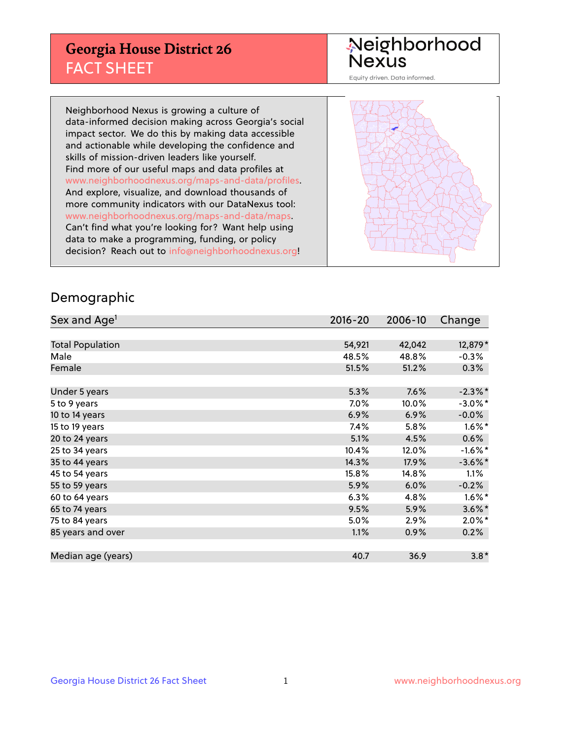## **Georgia House District 26** FACT SHEET

# Neighborhood<br>Nexus

Equity driven. Data informed.

Neighborhood Nexus is growing a culture of data-informed decision making across Georgia's social impact sector. We do this by making data accessible and actionable while developing the confidence and skills of mission-driven leaders like yourself. Find more of our useful maps and data profiles at www.neighborhoodnexus.org/maps-and-data/profiles. And explore, visualize, and download thousands of more community indicators with our DataNexus tool: www.neighborhoodnexus.org/maps-and-data/maps. Can't find what you're looking for? Want help using data to make a programming, funding, or policy decision? Reach out to [info@neighborhoodnexus.org!](mailto:info@neighborhoodnexus.org)



### Demographic

| Sex and Age <sup>1</sup> | 2016-20 | 2006-10 | Change               |
|--------------------------|---------|---------|----------------------|
|                          |         |         |                      |
| <b>Total Population</b>  | 54,921  | 42,042  | 12,879*              |
| Male                     | 48.5%   | 48.8%   | $-0.3%$              |
| Female                   | 51.5%   | 51.2%   | 0.3%                 |
|                          |         |         |                      |
| Under 5 years            | 5.3%    | 7.6%    | $-2.3\%$ *           |
| 5 to 9 years             | 7.0%    | 10.0%   | $-3.0\%$ *           |
| 10 to 14 years           | 6.9%    | 6.9%    | $-0.0%$              |
| 15 to 19 years           | 7.4%    | 5.8%    | $1.6\%$ *            |
| 20 to 24 years           | 5.1%    | 4.5%    | 0.6%                 |
| 25 to 34 years           | 10.4%   | 12.0%   | $-1.6\%$ *           |
| 35 to 44 years           | 14.3%   | 17.9%   | $-3.6\%$ *           |
| 45 to 54 years           | 15.8%   | 14.8%   | 1.1%                 |
| 55 to 59 years           | 5.9%    | 6.0%    | $-0.2%$              |
| 60 to 64 years           | 6.3%    | 4.8%    | $1.6\%$ <sup>*</sup> |
| 65 to 74 years           | 9.5%    | 5.9%    | $3.6\%$ *            |
| 75 to 84 years           | 5.0%    | 2.9%    | $2.0\%$ *            |
| 85 years and over        | 1.1%    | 0.9%    | 0.2%                 |
|                          |         |         |                      |
| Median age (years)       | 40.7    | 36.9    | $3.8*$               |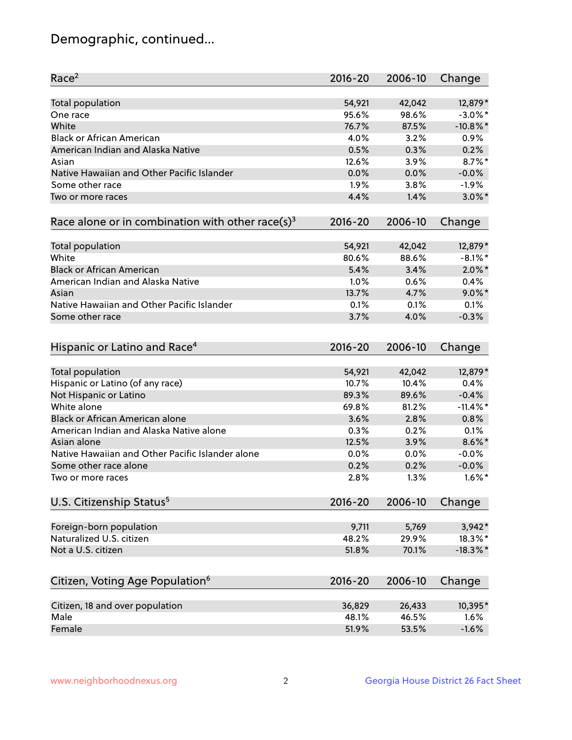## Demographic, continued...

| Race <sup>2</sup>                                            | $2016 - 20$ | 2006-10 | Change      |
|--------------------------------------------------------------|-------------|---------|-------------|
| <b>Total population</b>                                      | 54,921      | 42,042  | 12,879*     |
| One race                                                     | 95.6%       | 98.6%   | $-3.0\%$ *  |
| White                                                        | 76.7%       | 87.5%   | $-10.8\%$ * |
| <b>Black or African American</b>                             | 4.0%        | 3.2%    | 0.9%        |
| American Indian and Alaska Native                            | 0.5%        | 0.3%    | 0.2%        |
| Asian                                                        | 12.6%       | 3.9%    | $8.7\%$ *   |
| Native Hawaiian and Other Pacific Islander                   | 0.0%        | 0.0%    | $-0.0%$     |
| Some other race                                              | 1.9%        | 3.8%    | $-1.9%$     |
| Two or more races                                            | 4.4%        | 1.4%    | $3.0\%$ *   |
| Race alone or in combination with other race(s) <sup>3</sup> | $2016 - 20$ | 2006-10 | Change      |
| Total population                                             | 54,921      | 42,042  | 12,879*     |
| White                                                        | 80.6%       | 88.6%   | $-8.1\%$ *  |
| <b>Black or African American</b>                             | 5.4%        | 3.4%    | $2.0\%$ *   |
| American Indian and Alaska Native                            | 1.0%        | 0.6%    | 0.4%        |
| Asian                                                        | 13.7%       | 4.7%    | $9.0\%$ *   |
| Native Hawaiian and Other Pacific Islander                   | 0.1%        | 0.1%    | 0.1%        |
| Some other race                                              | 3.7%        | 4.0%    | $-0.3%$     |
|                                                              |             |         |             |
| Hispanic or Latino and Race <sup>4</sup>                     | $2016 - 20$ | 2006-10 | Change      |
| Total population                                             | 54,921      | 42,042  | 12,879*     |
| Hispanic or Latino (of any race)                             | 10.7%       | 10.4%   | 0.4%        |
| Not Hispanic or Latino                                       | 89.3%       | 89.6%   | $-0.4%$     |
| White alone                                                  | 69.8%       | 81.2%   | $-11.4\%$ * |
| Black or African American alone                              | 3.6%        | 2.8%    | 0.8%        |
| American Indian and Alaska Native alone                      | 0.3%        | 0.2%    | 0.1%        |
| Asian alone                                                  | 12.5%       | 3.9%    | $8.6\%$ *   |
| Native Hawaiian and Other Pacific Islander alone             | 0.0%        | 0.0%    | $-0.0%$     |
| Some other race alone                                        | 0.2%        | 0.2%    | $-0.0%$     |
| Two or more races                                            | 2.8%        | 1.3%    | $1.6\%$ *   |
| U.S. Citizenship Status <sup>5</sup>                         | 2016-20     | 2006-10 | Change      |
|                                                              |             |         |             |
| Foreign-born population                                      | 9,711       | 5,769   | $3,942*$    |
| Naturalized U.S. citizen                                     | 48.2%       | 29.9%   | 18.3%*      |
| Not a U.S. citizen                                           | 51.8%       | 70.1%   | $-18.3\%$ * |
| Citizen, Voting Age Population <sup>6</sup>                  | 2016-20     | 2006-10 | Change      |
| Citizen, 18 and over population                              | 36,829      | 26,433  | 10,395*     |
| Male                                                         | 48.1%       | 46.5%   | 1.6%        |
| Female                                                       | 51.9%       | 53.5%   | $-1.6%$     |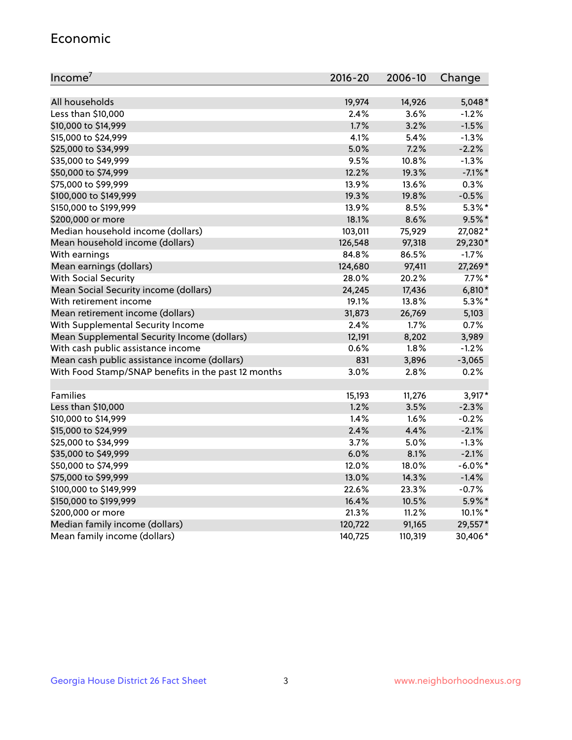#### Economic

| Income <sup>7</sup>                                 | $2016 - 20$ | 2006-10 | Change     |
|-----------------------------------------------------|-------------|---------|------------|
|                                                     |             |         |            |
| All households                                      | 19,974      | 14,926  | $5,048*$   |
| Less than \$10,000                                  | 2.4%        | 3.6%    | $-1.2%$    |
| \$10,000 to \$14,999                                | 1.7%        | 3.2%    | $-1.5%$    |
| \$15,000 to \$24,999                                | 4.1%        | 5.4%    | $-1.3%$    |
| \$25,000 to \$34,999                                | 5.0%        | 7.2%    | $-2.2%$    |
| \$35,000 to \$49,999                                | 9.5%        | 10.8%   | $-1.3%$    |
| \$50,000 to \$74,999                                | 12.2%       | 19.3%   | $-7.1\%$ * |
| \$75,000 to \$99,999                                | 13.9%       | 13.6%   | 0.3%       |
| \$100,000 to \$149,999                              | 19.3%       | 19.8%   | $-0.5%$    |
| \$150,000 to \$199,999                              | 13.9%       | 8.5%    | $5.3\%$ *  |
| \$200,000 or more                                   | 18.1%       | 8.6%    | $9.5%$ *   |
| Median household income (dollars)                   | 103,011     | 75,929  | 27,082*    |
| Mean household income (dollars)                     | 126,548     | 97,318  | 29,230*    |
| With earnings                                       | 84.8%       | 86.5%   | $-1.7%$    |
| Mean earnings (dollars)                             | 124,680     | 97,411  | 27,269*    |
| <b>With Social Security</b>                         | 28.0%       | 20.2%   | $7.7\%$ *  |
| Mean Social Security income (dollars)               | 24,245      | 17,436  | $6,810*$   |
| With retirement income                              | 19.1%       | 13.8%   | $5.3\%$ *  |
| Mean retirement income (dollars)                    | 31,873      | 26,769  | 5,103      |
| With Supplemental Security Income                   | 2.4%        | $1.7\%$ | 0.7%       |
| Mean Supplemental Security Income (dollars)         | 12,191      | 8,202   | 3,989      |
| With cash public assistance income                  | 0.6%        | 1.8%    | $-1.2%$    |
| Mean cash public assistance income (dollars)        | 831         | 3,896   | $-3,065$   |
| With Food Stamp/SNAP benefits in the past 12 months | 3.0%        | 2.8%    | 0.2%       |
|                                                     |             |         |            |
| Families                                            | 15,193      | 11,276  | $3,917*$   |
| Less than \$10,000                                  | 1.2%        | 3.5%    | $-2.3%$    |
| \$10,000 to \$14,999                                | 1.4%        | 1.6%    | $-0.2%$    |
| \$15,000 to \$24,999                                | 2.4%        | 4.4%    | $-2.1%$    |
| \$25,000 to \$34,999                                | 3.7%        | 5.0%    | $-1.3%$    |
| \$35,000 to \$49,999                                | 6.0%        | 8.1%    | $-2.1%$    |
| \$50,000 to \$74,999                                | 12.0%       | 18.0%   | $-6.0\%$ * |
| \$75,000 to \$99,999                                | 13.0%       | 14.3%   | $-1.4%$    |
| \$100,000 to \$149,999                              | 22.6%       | 23.3%   | $-0.7%$    |
| \$150,000 to \$199,999                              | 16.4%       | 10.5%   | 5.9%*      |
| \$200,000 or more                                   | 21.3%       | 11.2%   | $10.1\%$ * |
| Median family income (dollars)                      | 120,722     | 91,165  | 29,557*    |
| Mean family income (dollars)                        | 140,725     | 110,319 | 30,406*    |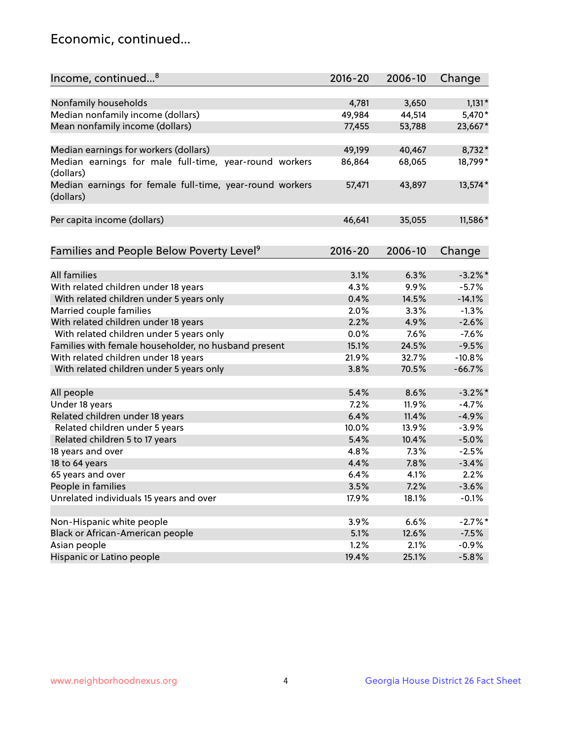## Economic, continued...

| Income, continued <sup>8</sup>                           | $2016 - 20$ | 2006-10 | Change     |
|----------------------------------------------------------|-------------|---------|------------|
|                                                          |             |         |            |
| Nonfamily households                                     | 4,781       | 3,650   | $1,131*$   |
| Median nonfamily income (dollars)                        | 49,984      | 44,514  | 5,470*     |
| Mean nonfamily income (dollars)                          | 77,455      | 53,788  | 23,667*    |
|                                                          |             |         |            |
| Median earnings for workers (dollars)                    | 49,199      | 40,467  | 8,732*     |
| Median earnings for male full-time, year-round workers   | 86,864      | 68,065  | 18,799*    |
| (dollars)                                                |             |         |            |
| Median earnings for female full-time, year-round workers | 57,471      | 43,897  | 13,574*    |
| (dollars)                                                |             |         |            |
|                                                          |             |         |            |
| Per capita income (dollars)                              | 46,641      | 35,055  | 11,586*    |
|                                                          |             |         |            |
| Families and People Below Poverty Level <sup>9</sup>     | $2016 - 20$ | 2006-10 | Change     |
|                                                          |             |         |            |
| <b>All families</b>                                      | 3.1%        | 6.3%    | $-3.2\%$ * |
| With related children under 18 years                     | 4.3%        | 9.9%    | $-5.7%$    |
| With related children under 5 years only                 | 0.4%        | 14.5%   | $-14.1%$   |
| Married couple families                                  | 2.0%        | 3.3%    | $-1.3%$    |
| With related children under 18 years                     | 2.2%        | 4.9%    | $-2.6%$    |
| With related children under 5 years only                 | 0.0%        | 7.6%    | $-7.6%$    |
| Families with female householder, no husband present     | 15.1%       | 24.5%   | $-9.5%$    |
| With related children under 18 years                     | 21.9%       | 32.7%   | $-10.8%$   |
| With related children under 5 years only                 | 3.8%        | 70.5%   | $-66.7%$   |
|                                                          |             |         |            |
| All people                                               | 5.4%        | 8.6%    | $-3.2\%$ * |
| Under 18 years                                           | 7.2%        | 11.9%   | $-4.7%$    |
| Related children under 18 years                          | 6.4%        | 11.4%   | $-4.9%$    |
| Related children under 5 years                           | 10.0%       | 13.9%   | $-3.9%$    |
| Related children 5 to 17 years                           | 5.4%        | 10.4%   | $-5.0%$    |
| 18 years and over                                        | 4.8%        | 7.3%    | $-2.5%$    |
| 18 to 64 years                                           | 4.4%        | 7.8%    | $-3.4%$    |
| 65 years and over                                        | 6.4%        | 4.1%    | 2.2%       |
| People in families                                       | 3.5%        | 7.2%    | $-3.6%$    |
| Unrelated individuals 15 years and over                  | 17.9%       | 18.1%   | $-0.1%$    |
|                                                          |             |         |            |
| Non-Hispanic white people                                | 3.9%        | 6.6%    | $-2.7%$ *  |
| Black or African-American people                         | 5.1%        | 12.6%   | $-7.5%$    |
| Asian people                                             | 1.2%        | 2.1%    | $-0.9%$    |
| Hispanic or Latino people                                | 19.4%       | 25.1%   | $-5.8%$    |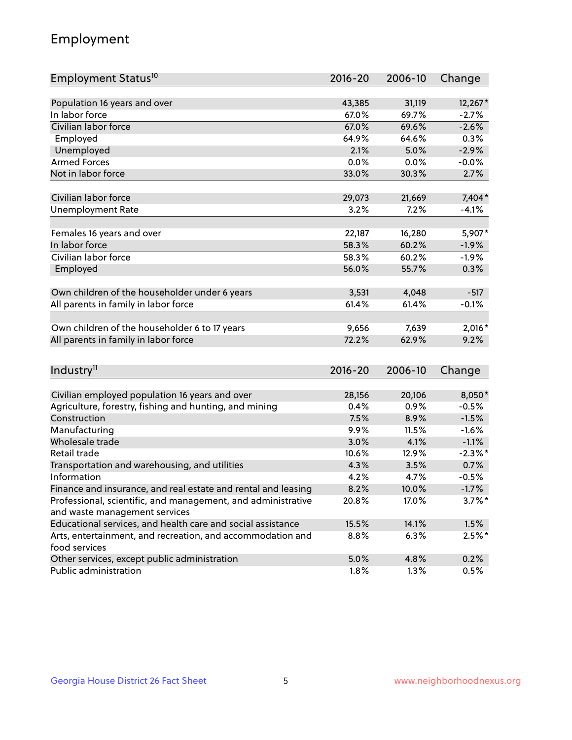## Employment

| Employment Status <sup>10</sup>                                                               | $2016 - 20$  | 2006-10 | Change                |
|-----------------------------------------------------------------------------------------------|--------------|---------|-----------------------|
|                                                                                               |              |         |                       |
| Population 16 years and over                                                                  | 43,385       | 31,119  | 12,267*               |
| In labor force                                                                                | 67.0%        | 69.7%   | $-2.7%$               |
| Civilian labor force                                                                          | 67.0%        | 69.6%   | $-2.6%$               |
| Employed                                                                                      | 64.9%        | 64.6%   | 0.3%                  |
| Unemployed                                                                                    | 2.1%         | 5.0%    | $-2.9%$               |
| <b>Armed Forces</b>                                                                           | 0.0%         | 0.0%    | $-0.0%$               |
| Not in labor force                                                                            | 33.0%        | 30.3%   | 2.7%                  |
| Civilian labor force                                                                          | 29,073       | 21,669  | 7,404*                |
|                                                                                               | 3.2%         | 7.2%    | $-4.1%$               |
| <b>Unemployment Rate</b>                                                                      |              |         |                       |
| Females 16 years and over                                                                     | 22,187       | 16,280  | 5,907*                |
| In labor force                                                                                | 58.3%        | 60.2%   | $-1.9%$               |
| Civilian labor force                                                                          | 58.3%        | 60.2%   | $-1.9%$               |
| Employed                                                                                      | 56.0%        | 55.7%   | 0.3%                  |
|                                                                                               |              |         |                       |
| Own children of the householder under 6 years                                                 | 3,531        | 4,048   | $-517$                |
| All parents in family in labor force                                                          | 61.4%        | 61.4%   | $-0.1%$               |
| Own children of the householder 6 to 17 years                                                 | 9,656        | 7,639   | $2,016*$              |
| All parents in family in labor force                                                          | 72.2%        | 62.9%   | 9.2%                  |
|                                                                                               |              |         |                       |
| Industry <sup>11</sup>                                                                        | $2016 - 20$  | 2006-10 | Change                |
|                                                                                               |              |         |                       |
| Civilian employed population 16 years and over                                                | 28,156       | 20,106  | 8,050*                |
| Agriculture, forestry, fishing and hunting, and mining                                        | 0.4%         | 0.9%    | $-0.5%$               |
| Construction                                                                                  | 7.5%         | 8.9%    | $-1.5%$               |
| Manufacturing<br>Wholesale trade                                                              | 9.9%<br>3.0% | 11.5%   | $-1.6%$               |
|                                                                                               |              | 4.1%    | $-1.1%$<br>$-2.3\%$ * |
| Retail trade                                                                                  | 10.6%        | 12.9%   |                       |
| Transportation and warehousing, and utilities<br>Information                                  | 4.3%         | 3.5%    | 0.7%                  |
|                                                                                               | 4.2%<br>8.2% | 4.7%    | $-0.5%$               |
| Finance and insurance, and real estate and rental and leasing                                 |              | 10.0%   | $-1.7%$               |
| Professional, scientific, and management, and administrative<br>and waste management services | 20.8%        | 17.0%   | $3.7\%$ *             |
| Educational services, and health care and social assistance                                   | 15.5%        | 14.1%   | 1.5%                  |
| Arts, entertainment, and recreation, and accommodation and                                    | 8.8%         | 6.3%    | $2.5%$ *              |
| food services                                                                                 |              |         |                       |
| Other services, except public administration                                                  | 5.0%         | 4.8%    | 0.2%                  |
| Public administration                                                                         | 1.8%         | 1.3%    | 0.5%                  |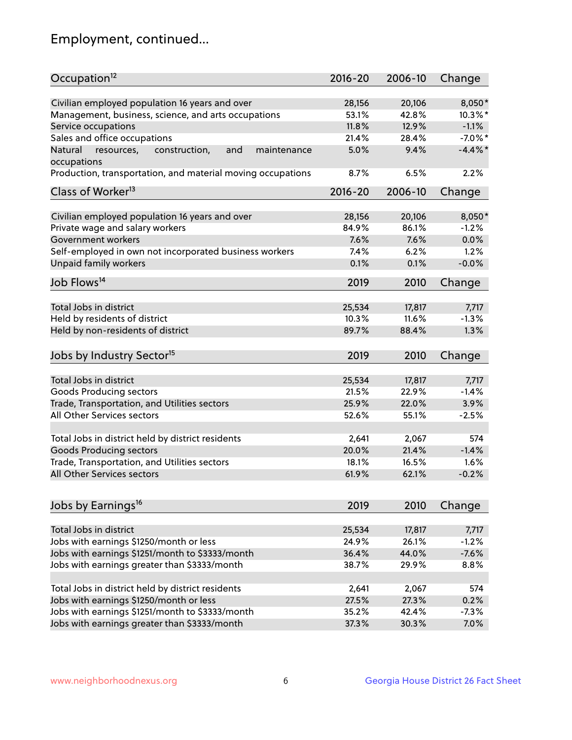## Employment, continued...

| Occupation <sup>12</sup>                                    | $2016 - 20$ | 2006-10 | Change     |
|-------------------------------------------------------------|-------------|---------|------------|
| Civilian employed population 16 years and over              | 28,156      | 20,106  | $8,050*$   |
| Management, business, science, and arts occupations         | 53.1%       | 42.8%   | $10.3\%$ * |
| Service occupations                                         | 11.8%       | 12.9%   | $-1.1%$    |
| Sales and office occupations                                | 21.4%       | 28.4%   | $-7.0\%$ * |
| and<br>Natural<br>maintenance                               | 5.0%        | 9.4%    | $-4.4\%$ * |
| resources,<br>construction,<br>occupations                  |             |         |            |
| Production, transportation, and material moving occupations | 8.7%        | 6.5%    | 2.2%       |
| Class of Worker <sup>13</sup>                               | $2016 - 20$ | 2006-10 | Change     |
| Civilian employed population 16 years and over              | 28,156      | 20,106  | $8,050*$   |
| Private wage and salary workers                             | 84.9%       | 86.1%   | $-1.2%$    |
| Government workers                                          | 7.6%        | 7.6%    | 0.0%       |
| Self-employed in own not incorporated business workers      | 7.4%        | 6.2%    | 1.2%       |
| Unpaid family workers                                       | 0.1%        | 0.1%    | $-0.0%$    |
|                                                             |             |         |            |
| Job Flows <sup>14</sup>                                     | 2019        | 2010    | Change     |
| Total Jobs in district                                      |             |         |            |
|                                                             | 25,534      | 17,817  | 7,717      |
| Held by residents of district                               | 10.3%       | 11.6%   | $-1.3%$    |
| Held by non-residents of district                           | 89.7%       | 88.4%   | 1.3%       |
| Jobs by Industry Sector <sup>15</sup>                       | 2019        | 2010    | Change     |
| Total Jobs in district                                      | 25,534      | 17,817  | 7,717      |
|                                                             |             |         | $-1.4%$    |
| Goods Producing sectors                                     | 21.5%       | 22.9%   |            |
| Trade, Transportation, and Utilities sectors                | 25.9%       | 22.0%   | 3.9%       |
| All Other Services sectors                                  | 52.6%       | 55.1%   | $-2.5%$    |
| Total Jobs in district held by district residents           | 2,641       | 2,067   | 574        |
| <b>Goods Producing sectors</b>                              | 20.0%       | 21.4%   | $-1.4%$    |
| Trade, Transportation, and Utilities sectors                | 18.1%       | 16.5%   | 1.6%       |
| All Other Services sectors                                  | 61.9%       | 62.1%   | $-0.2%$    |
|                                                             |             |         |            |
| Jobs by Earnings <sup>16</sup>                              | 2019        | 2010    | Change     |
|                                                             |             |         |            |
| Total Jobs in district                                      | 25,534      | 17,817  | 7,717      |
| Jobs with earnings \$1250/month or less                     | 24.9%       | 26.1%   | $-1.2%$    |
| Jobs with earnings \$1251/month to \$3333/month             | 36.4%       | 44.0%   | $-7.6%$    |
| Jobs with earnings greater than \$3333/month                | 38.7%       | 29.9%   | 8.8%       |
| Total Jobs in district held by district residents           | 2,641       | 2,067   | 574        |
| Jobs with earnings \$1250/month or less                     | 27.5%       | 27.3%   | 0.2%       |
| Jobs with earnings \$1251/month to \$3333/month             | 35.2%       | 42.4%   | $-7.3%$    |
| Jobs with earnings greater than \$3333/month                | 37.3%       | 30.3%   | 7.0%       |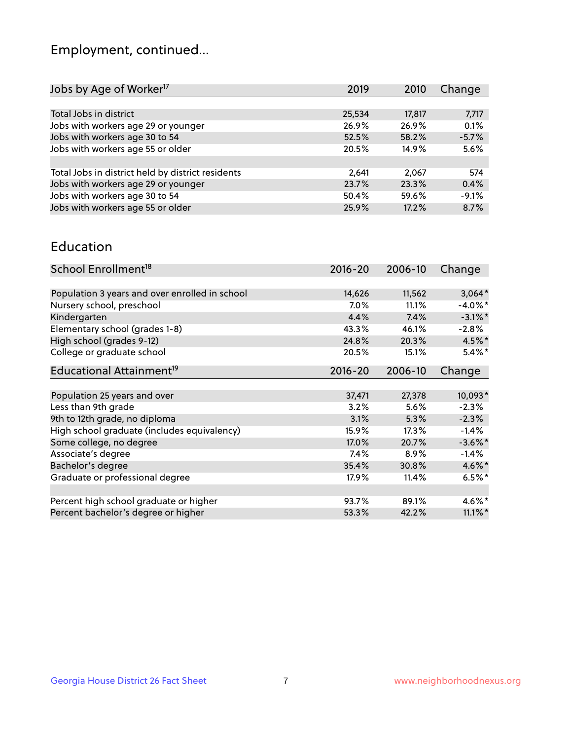## Employment, continued...

| 2019   | 2010   | Change  |
|--------|--------|---------|
|        |        |         |
| 25,534 | 17,817 | 7,717   |
| 26.9%  | 26.9%  | 0.1%    |
| 52.5%  | 58.2%  | $-5.7%$ |
| 20.5%  | 14.9%  | 5.6%    |
|        |        |         |
| 2,641  | 2,067  | 574     |
| 23.7%  | 23.3%  | 0.4%    |
| 50.4%  | 59.6%  | $-9.1%$ |
| 25.9%  | 17.2%  | 8.7%    |
|        |        |         |

#### Education

| School Enrollment <sup>18</sup>                | $2016 - 20$ | 2006-10 | Change     |
|------------------------------------------------|-------------|---------|------------|
|                                                |             |         |            |
| Population 3 years and over enrolled in school | 14,626      | 11,562  | $3,064*$   |
| Nursery school, preschool                      | $7.0\%$     | 11.1%   | $-4.0\%$ * |
| Kindergarten                                   | 4.4%        | 7.4%    | $-3.1\%$ * |
| Elementary school (grades 1-8)                 | 43.3%       | 46.1%   | $-2.8%$    |
| High school (grades 9-12)                      | 24.8%       | 20.3%   | $4.5\%$ *  |
| College or graduate school                     | 20.5%       | 15.1%   | $5.4\%$ *  |
| Educational Attainment <sup>19</sup>           | $2016 - 20$ | 2006-10 | Change     |
|                                                |             |         |            |
| Population 25 years and over                   | 37,471      | 27,378  | 10,093*    |
| Less than 9th grade                            | 3.2%        | 5.6%    | $-2.3%$    |
| 9th to 12th grade, no diploma                  | 3.1%        | 5.3%    | $-2.3%$    |
| High school graduate (includes equivalency)    | 15.9%       | 17.3%   | $-1.4%$    |
| Some college, no degree                        | $17.0\%$    | 20.7%   | $-3.6\%$ * |
| Associate's degree                             | 7.4%        | 8.9%    | $-1.4%$    |
| Bachelor's degree                              | 35.4%       | 30.8%   | $4.6\%$ *  |
| Graduate or professional degree                | 17.9%       | 11.4%   | $6.5%$ *   |
|                                                |             |         |            |
| Percent high school graduate or higher         | 93.7%       | 89.1%   | 4.6%*      |
| Percent bachelor's degree or higher            | 53.3%       | 42.2%   | $11.1\%$ * |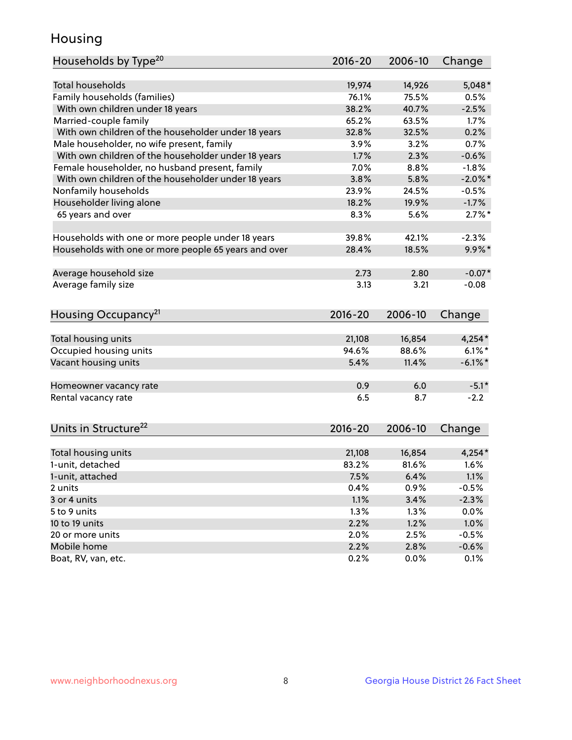## Housing

| Households by Type <sup>20</sup>                     | 2016-20         | 2006-10         | Change                |
|------------------------------------------------------|-----------------|-----------------|-----------------------|
|                                                      |                 |                 |                       |
| <b>Total households</b>                              | 19,974          | 14,926          | $5,048*$              |
| Family households (families)                         | 76.1%           | 75.5%           | 0.5%                  |
| With own children under 18 years                     | 38.2%           | 40.7%           | $-2.5%$               |
| Married-couple family                                | 65.2%           | 63.5%           | 1.7%                  |
| With own children of the householder under 18 years  | 32.8%           | 32.5%           | 0.2%                  |
| Male householder, no wife present, family            | 3.9%            | 3.2%            | 0.7%                  |
| With own children of the householder under 18 years  | 1.7%            | 2.3%            | $-0.6%$               |
| Female householder, no husband present, family       | 7.0%            | 8.8%            | $-1.8%$               |
| With own children of the householder under 18 years  | 3.8%            | 5.8%            | $-2.0\%$ *            |
| Nonfamily households                                 | 23.9%           | 24.5%           | $-0.5%$               |
| Householder living alone                             | 18.2%           | 19.9%           | $-1.7%$               |
| 65 years and over                                    | 8.3%            | 5.6%            | $2.7\%$ *             |
|                                                      |                 |                 |                       |
| Households with one or more people under 18 years    | 39.8%           | 42.1%           | $-2.3%$               |
| Households with one or more people 65 years and over | 28.4%           | 18.5%           | $9.9\%$ *             |
|                                                      |                 |                 |                       |
| Average household size                               | 2.73            | 2.80            | $-0.07*$              |
| Average family size                                  | 3.13            | 3.21            | $-0.08$               |
|                                                      |                 |                 |                       |
| Housing Occupancy <sup>21</sup>                      | $2016 - 20$     | 2006-10         | Change                |
|                                                      |                 |                 |                       |
| Total housing units                                  | 21,108<br>94.6% | 16,854<br>88.6% | $4,254*$<br>$6.1\%$ * |
| Occupied housing units                               |                 |                 |                       |
| Vacant housing units                                 | 5.4%            | 11.4%           | $-6.1\%$ *            |
| Homeowner vacancy rate                               | 0.9             | 6.0             | $-5.1*$               |
| Rental vacancy rate                                  | 6.5             | 8.7             | $-2.2$                |
|                                                      |                 |                 |                       |
| Units in Structure <sup>22</sup>                     | 2016-20         | 2006-10         | Change                |
|                                                      |                 |                 |                       |
| Total housing units                                  | 21,108          | 16,854          | $4,254*$              |
| 1-unit, detached                                     | 83.2%           | 81.6%           | 1.6%                  |
| 1-unit, attached                                     | 7.5%            | 6.4%            | 1.1%                  |
| 2 units                                              | 0.4%            | 0.9%            | $-0.5%$               |
| 3 or 4 units                                         | 1.1%            | 3.4%            | $-2.3%$               |
| 5 to 9 units                                         | 1.3%            | 1.3%            | 0.0%                  |
| 10 to 19 units                                       | 2.2%            | 1.2%            | 1.0%                  |
| 20 or more units                                     | 2.0%            | 2.5%            | $-0.5%$               |
| Mobile home                                          | 2.2%            | 2.8%            | $-0.6%$               |
| Boat, RV, van, etc.                                  | 0.2%            | $0.0\%$         | 0.1%                  |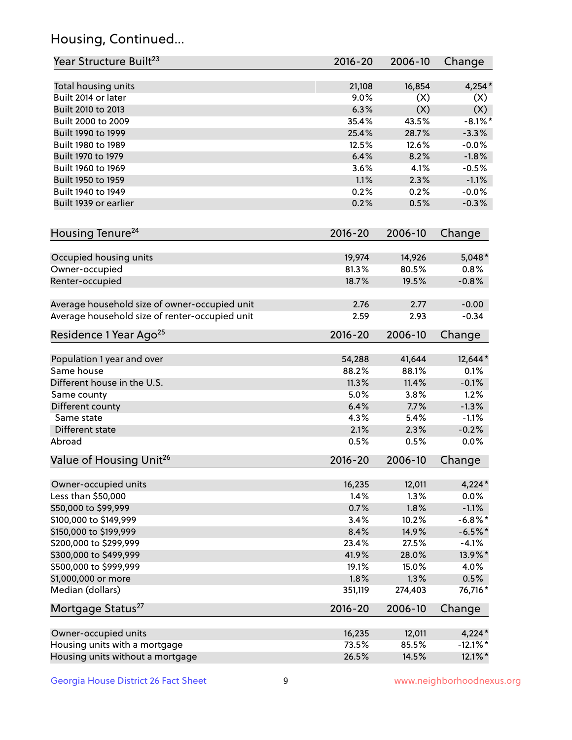## Housing, Continued...

| Year Structure Built <sup>23</sup>             | 2016-20     | 2006-10 | Change      |
|------------------------------------------------|-------------|---------|-------------|
| Total housing units                            | 21,108      | 16,854  | $4,254*$    |
| Built 2014 or later                            | 9.0%        | (X)     | (X)         |
| Built 2010 to 2013                             | 6.3%        | (X)     | (X)         |
| Built 2000 to 2009                             | 35.4%       | 43.5%   | $-8.1\%$ *  |
| Built 1990 to 1999                             | 25.4%       | 28.7%   | $-3.3%$     |
| Built 1980 to 1989                             | 12.5%       | 12.6%   | $-0.0%$     |
| Built 1970 to 1979                             | 6.4%        | 8.2%    | $-1.8%$     |
| Built 1960 to 1969                             | 3.6%        | 4.1%    | $-0.5%$     |
| Built 1950 to 1959                             | 1.1%        | 2.3%    | $-1.1%$     |
| Built 1940 to 1949                             | 0.2%        | 0.2%    | $-0.0%$     |
| Built 1939 or earlier                          | 0.2%        | 0.5%    | $-0.3%$     |
| Housing Tenure <sup>24</sup>                   | 2016-20     | 2006-10 | Change      |
|                                                |             |         |             |
| Occupied housing units                         | 19,974      | 14,926  | $5,048*$    |
| Owner-occupied                                 | 81.3%       | 80.5%   | 0.8%        |
| Renter-occupied                                | 18.7%       | 19.5%   | $-0.8%$     |
| Average household size of owner-occupied unit  | 2.76        | 2.77    | $-0.00$     |
| Average household size of renter-occupied unit | 2.59        | 2.93    | $-0.34$     |
| Residence 1 Year Ago <sup>25</sup>             | 2016-20     | 2006-10 | Change      |
| Population 1 year and over                     | 54,288      | 41,644  | 12,644*     |
| Same house                                     | 88.2%       | 88.1%   | 0.1%        |
| Different house in the U.S.                    | 11.3%       | 11.4%   | $-0.1%$     |
| Same county                                    | 5.0%        | 3.8%    | 1.2%        |
| Different county                               | 6.4%        | 7.7%    | $-1.3%$     |
| Same state                                     | 4.3%        | 5.4%    | $-1.1%$     |
| Different state                                | 2.1%        | 2.3%    | $-0.2%$     |
| Abroad                                         | 0.5%        | 0.5%    | 0.0%        |
| Value of Housing Unit <sup>26</sup>            | $2016 - 20$ | 2006-10 | Change      |
|                                                |             |         |             |
| Owner-occupied units                           | 16,235      | 12,011  | $4,224*$    |
| Less than \$50,000                             | 1.4%        | 1.3%    | 0.0%        |
| \$50,000 to \$99,999                           | 0.7%        | 1.8%    | $-1.1%$     |
| \$100,000 to \$149,999                         | 3.4%        | 10.2%   | $-6.8\%$ *  |
| \$150,000 to \$199,999                         | 8.4%        | 14.9%   | $-6.5%$ *   |
| \$200,000 to \$299,999                         | 23.4%       | 27.5%   | $-4.1%$     |
| \$300,000 to \$499,999                         | 41.9%       | 28.0%   | 13.9%*      |
| \$500,000 to \$999,999                         | 19.1%       | 15.0%   | 4.0%        |
| \$1,000,000 or more                            | 1.8%        | 1.3%    | 0.5%        |
| Median (dollars)                               | 351,119     | 274,403 | 76,716*     |
| Mortgage Status <sup>27</sup>                  | $2016 - 20$ | 2006-10 | Change      |
| Owner-occupied units                           | 16,235      | 12,011  | $4,224*$    |
| Housing units with a mortgage                  | 73.5%       | 85.5%   | $-12.1\%$ * |
| Housing units without a mortgage               | 26.5%       | 14.5%   | 12.1%*      |
|                                                |             |         |             |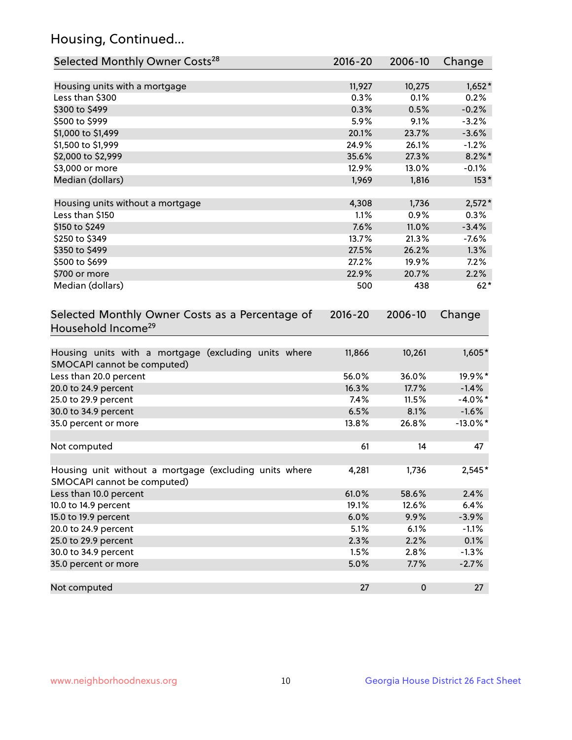## Housing, Continued...

| Selected Monthly Owner Costs <sup>28</sup>                                            | 2016-20     | 2006-10 | Change      |
|---------------------------------------------------------------------------------------|-------------|---------|-------------|
| Housing units with a mortgage                                                         | 11,927      | 10,275  | $1,652*$    |
| Less than \$300                                                                       | 0.3%        | 0.1%    | 0.2%        |
| \$300 to \$499                                                                        | 0.3%        | 0.5%    | $-0.2%$     |
| \$500 to \$999                                                                        | 5.9%        | 9.1%    | $-3.2%$     |
| \$1,000 to \$1,499                                                                    | 20.1%       | 23.7%   | $-3.6%$     |
| \$1,500 to \$1,999                                                                    | 24.9%       | 26.1%   | $-1.2%$     |
| \$2,000 to \$2,999                                                                    | 35.6%       | 27.3%   | $8.2\%$ *   |
| \$3,000 or more                                                                       | 12.9%       | 13.0%   | $-0.1%$     |
| Median (dollars)                                                                      | 1,969       | 1,816   | $153*$      |
| Housing units without a mortgage                                                      | 4,308       | 1,736   | $2,572*$    |
| Less than \$150                                                                       | 1.1%        | 0.9%    | 0.3%        |
| \$150 to \$249                                                                        | 7.6%        | 11.0%   | $-3.4%$     |
| \$250 to \$349                                                                        | 13.7%       | 21.3%   | $-7.6%$     |
| \$350 to \$499                                                                        | 27.5%       | 26.2%   | 1.3%        |
| \$500 to \$699                                                                        | 27.2%       | 19.9%   | 7.2%        |
| \$700 or more                                                                         | 22.9%       | 20.7%   | 2.2%        |
| Median (dollars)                                                                      | 500         | 438     | $62*$       |
| Selected Monthly Owner Costs as a Percentage of<br>Household Income <sup>29</sup>     | $2016 - 20$ | 2006-10 | Change      |
| Housing units with a mortgage (excluding units where<br>SMOCAPI cannot be computed)   | 11,866      | 10,261  | $1,605*$    |
| Less than 20.0 percent                                                                | 56.0%       | 36.0%   | 19.9%*      |
| 20.0 to 24.9 percent                                                                  | 16.3%       | 17.7%   | $-1.4%$     |
| 25.0 to 29.9 percent                                                                  | 7.4%        | 11.5%   | $-4.0\%$ *  |
| 30.0 to 34.9 percent                                                                  | 6.5%        | 8.1%    | $-1.6%$     |
| 35.0 percent or more                                                                  | 13.8%       | 26.8%   | $-13.0\%$ * |
| Not computed                                                                          | 61          | 14      | 47          |
| Housing unit without a mortgage (excluding units where<br>SMOCAPI cannot be computed) | 4,281       | 1,736   | 2,545*      |
| Less than 10.0 percent                                                                | 61.0%       | 58.6%   | 2.4%        |
| 10.0 to 14.9 percent                                                                  | 19.1%       | 12.6%   | 6.4%        |
| 15.0 to 19.9 percent                                                                  | 6.0%        | 9.9%    | $-3.9%$     |
| 20.0 to 24.9 percent                                                                  | 5.1%        | 6.1%    | $-1.1%$     |
| 25.0 to 29.9 percent                                                                  | 2.3%        | 2.2%    | 0.1%        |
| 30.0 to 34.9 percent                                                                  | 1.5%        | 2.8%    | $-1.3%$     |
| 35.0 percent or more                                                                  | 5.0%        | 7.7%    | $-2.7%$     |
| Not computed                                                                          | 27          | 0       | 27          |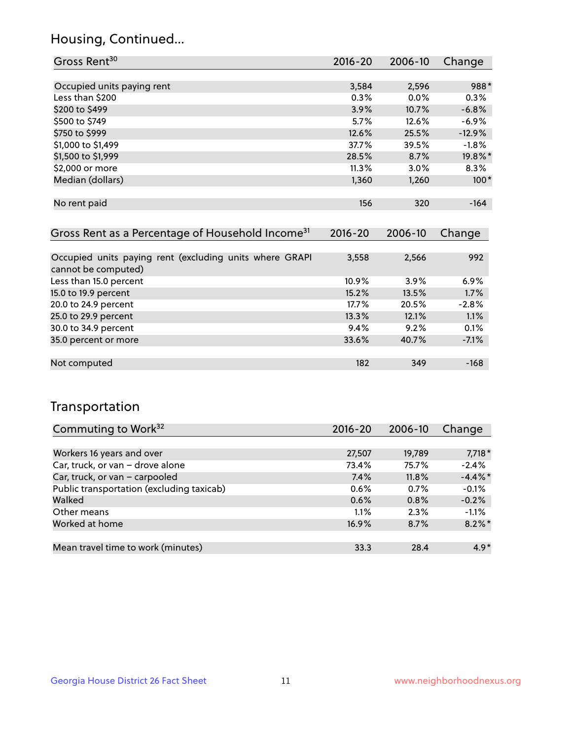## Housing, Continued...

| Gross Rent <sup>30</sup>   | 2016-20 | 2006-10 | Change   |
|----------------------------|---------|---------|----------|
|                            |         |         |          |
| Occupied units paying rent | 3,584   | 2,596   | 988*     |
| Less than \$200            | 0.3%    | $0.0\%$ | 0.3%     |
| \$200 to \$499             | 3.9%    | 10.7%   | $-6.8%$  |
| \$500 to \$749             | 5.7%    | 12.6%   | $-6.9%$  |
| \$750 to \$999             | 12.6%   | 25.5%   | $-12.9%$ |
| \$1,000 to \$1,499         | 37.7%   | 39.5%   | $-1.8%$  |
| \$1,500 to \$1,999         | 28.5%   | 8.7%    | 19.8%*   |
| \$2,000 or more            | 11.3%   | 3.0%    | 8.3%     |
| Median (dollars)           | 1,360   | 1,260   | $100*$   |
|                            |         |         |          |
| No rent paid               | 156     | 320     | $-164$   |
|                            |         |         |          |

| Gross Rent as a Percentage of Household Income <sup>31</sup>                   | $2016 - 20$ | 2006-10 | Change  |
|--------------------------------------------------------------------------------|-------------|---------|---------|
|                                                                                |             |         |         |
| Occupied units paying rent (excluding units where GRAPI<br>cannot be computed) | 3,558       | 2,566   | 992     |
| Less than 15.0 percent                                                         | 10.9%       | 3.9%    | 6.9%    |
| 15.0 to 19.9 percent                                                           | 15.2%       | 13.5%   | 1.7%    |
| 20.0 to 24.9 percent                                                           | 17.7%       | 20.5%   | $-2.8%$ |
| 25.0 to 29.9 percent                                                           | 13.3%       | 12.1%   | 1.1%    |
| 30.0 to 34.9 percent                                                           | 9.4%        | 9.2%    | 0.1%    |
| 35.0 percent or more                                                           | 33.6%       | 40.7%   | $-7.1%$ |
|                                                                                |             |         |         |
| Not computed                                                                   | 182         | 349     | $-168$  |

## Transportation

| Commuting to Work <sup>32</sup>           | 2016-20 | 2006-10 | Change     |
|-------------------------------------------|---------|---------|------------|
|                                           |         |         |            |
| Workers 16 years and over                 | 27,507  | 19,789  | $7,718*$   |
| Car, truck, or van - drove alone          | 73.4%   | 75.7%   | $-2.4%$    |
| Car, truck, or van - carpooled            | 7.4%    | 11.8%   | $-4.4\%$ * |
| Public transportation (excluding taxicab) | 0.6%    | 0.7%    | $-0.1%$    |
| Walked                                    | 0.6%    | 0.8%    | $-0.2%$    |
| Other means                               | 1.1%    | 2.3%    | $-1.1%$    |
| Worked at home                            | 16.9%   | 8.7%    | $8.2\%$ *  |
|                                           |         |         |            |
| Mean travel time to work (minutes)        | 33.3    | 28.4    | $4.9*$     |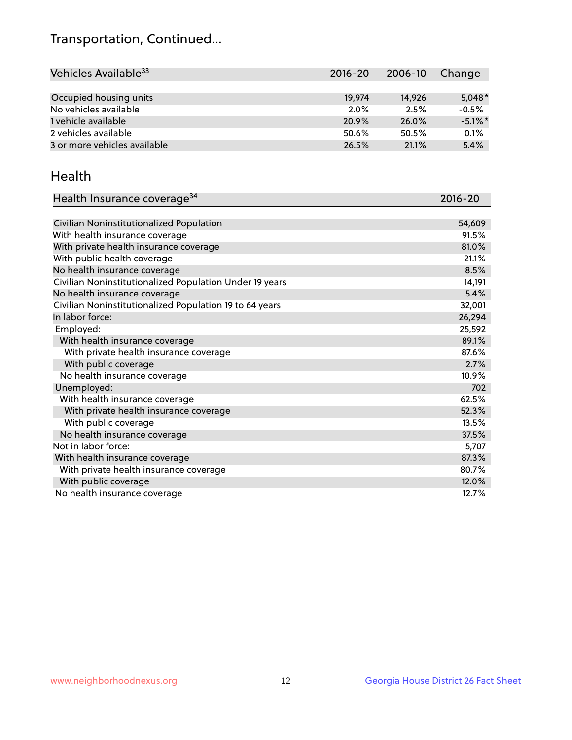## Transportation, Continued...

| Vehicles Available <sup>33</sup> | $2016 - 20$ | 2006-10 | Change     |
|----------------------------------|-------------|---------|------------|
|                                  |             |         |            |
| Occupied housing units           | 19.974      | 14.926  | $5,048*$   |
| No vehicles available            | 2.0%        | 2.5%    | $-0.5%$    |
| 1 vehicle available              | 20.9%       | 26.0%   | $-5.1\%$ * |
| 2 vehicles available             | 50.6%       | 50.5%   | 0.1%       |
| 3 or more vehicles available     | 26.5%       | 21.1%   | 5.4%       |

#### Health

| Health Insurance coverage <sup>34</sup>                 | 2016-20 |
|---------------------------------------------------------|---------|
|                                                         |         |
| Civilian Noninstitutionalized Population                | 54,609  |
| With health insurance coverage                          | 91.5%   |
| With private health insurance coverage                  | 81.0%   |
| With public health coverage                             | 21.1%   |
| No health insurance coverage                            | 8.5%    |
| Civilian Noninstitutionalized Population Under 19 years | 14,191  |
| No health insurance coverage                            | 5.4%    |
| Civilian Noninstitutionalized Population 19 to 64 years | 32,001  |
| In labor force:                                         | 26,294  |
| Employed:                                               | 25,592  |
| With health insurance coverage                          | 89.1%   |
| With private health insurance coverage                  | 87.6%   |
| With public coverage                                    | 2.7%    |
| No health insurance coverage                            | 10.9%   |
| Unemployed:                                             | 702     |
| With health insurance coverage                          | 62.5%   |
| With private health insurance coverage                  | 52.3%   |
| With public coverage                                    | 13.5%   |
| No health insurance coverage                            | 37.5%   |
| Not in labor force:                                     | 5,707   |
| With health insurance coverage                          | 87.3%   |
| With private health insurance coverage                  | 80.7%   |
| With public coverage                                    | 12.0%   |
| No health insurance coverage                            | 12.7%   |